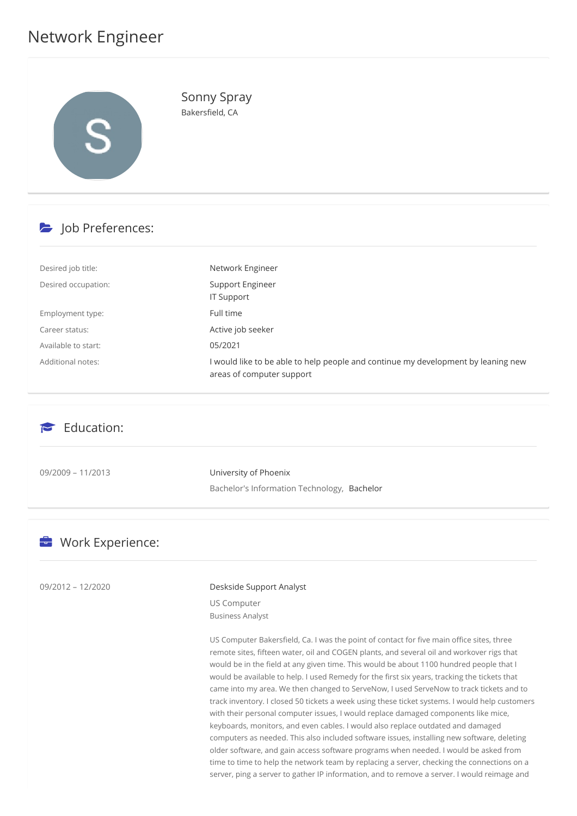# Network Engineer



Sonny Spray Bakersfield, CA

# b Job Preferences:

| Desired job title:  | Network Engineer                                                                                               |
|---------------------|----------------------------------------------------------------------------------------------------------------|
| Desired occupation: | Support Engineer<br><b>IT Support</b>                                                                          |
| Employment type:    | Full time                                                                                                      |
| Career status:      | Active job seeker                                                                                              |
| Available to start: | 05/2021                                                                                                        |
| Additional notes:   | I would like to be able to help people and continue my development by leaning new<br>areas of computer support |

### $\epsilon$  Education:

09/2009 – 11/2013 University of Phoenix Bachelor's Information Technology, Bachelor

## **E** Work Experience:

#### 09/2012 – 12/2020 Deskside Support Analyst

US Computer Business Analyst

US Computer Bakersfield, Ca. I was the point of contact for five main office sites, three remote sites, fifteen water, oil and COGEN plants, and several oil and workover rigs that would be in the field at any given time. This would be about 1100 hundred people that I would be available to help. I used Remedy for the first six years, tracking the tickets that came into my area. We then changed to ServeNow, I used ServeNow to track tickets and to track inventory. I closed 50 tickets a week using these ticket systems. I would help customers with their personal computer issues, I would replace damaged components like mice, keyboards, monitors, and even cables. I would also replace outdated and damaged computers as needed. This also included software issues, installing new software, deleting older software, and gain access software programs when needed. I would be asked from time to time to help the network team by replacing a server, checking the connections on a server, ping a server to gather IP information, and to remove a server. I would reimage and